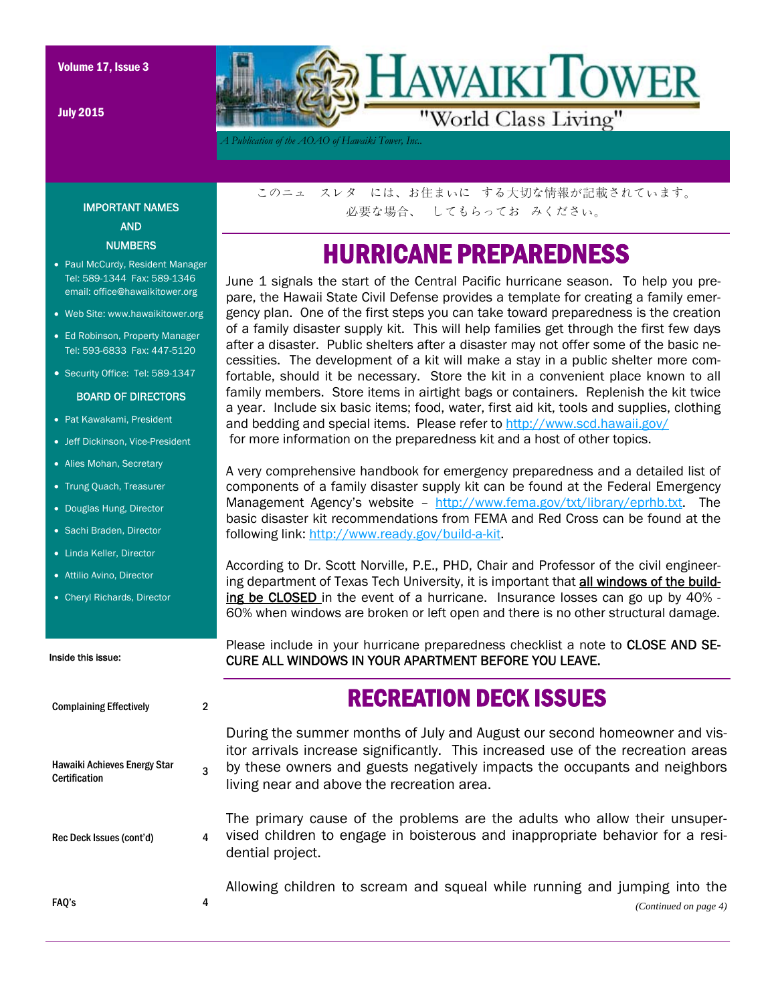July 2015



*A Publication of the AOAO of Hawaiki Tower, Inc..* 

### IMPORTANT NAMES AND **NUMBERS**

- Paul McCurdy, Resident Manager Tel: 589-1344 Fax: 589-1346 email: office@hawaikitower.org
- Web Site: www.hawaikitower.org
- Ed Robinson, Property Manager Tel: 593-6833 Fax: 447-5120
- Security Office: Tel: 589-1347

#### BOARD OF DIRECTORS

- Pat Kawakami, President
- Jeff Dickinson, Vice-President
- Alies Mohan, Secretary
- Trung Quach, Treasurer
- Douglas Hung, Director
- Sachi Braden, Director
- Linda Keller, Director
- Attilio Avino, Director
- Cheryl Richards, Director

#### Inside this issue:

| <b>Complaining Effectively</b>                | 2 |                                 |
|-----------------------------------------------|---|---------------------------------|
| Hawaiki Achieves Energy Star<br>Certification | 3 | Duri<br>itor<br>by tl<br>livin, |
| Rec Deck Issues (cont'd)                      | 4 | The<br>vise<br>dent             |
| FAQ's                                         | 4 | Alloy                           |

このニュ スレタ には、お住まいに する大切な情報が記載されています。 必要な場合、 してもらってお みください。

## HURRICANE PREPAREDNESS

June 1 signals the start of the Central Pacific hurricane season. To help you prepare, the Hawaii State Civil Defense provides a template for creating a family emergency plan. One of the first steps you can take toward preparedness is the creation of a family disaster supply kit. This will help families get through the first few days after a disaster. Public shelters after a disaster may not offer some of the basic necessities. The development of a kit will make a stay in a public shelter more comfortable, should it be necessary. Store the kit in a convenient place known to all family members. Store items in airtight bags or containers. Replenish the kit twice a year. Include six basic items; food, water, first aid kit, tools and supplies, clothing and bedding and special items. Please refer to http://www.scd.hawaii.gov/ for more information on the preparedness kit and a host of other topics.

A very comprehensive handbook for emergency preparedness and a detailed list of components of a family disaster supply kit can be found at the Federal Emergency Management Agency's website – http://www.fema.gov/txt/library/eprhb.txt. The basic disaster kit recommendations from FEMA and Red Cross can be found at the following link: http://www.ready.gov/build-a-kit.

According to Dr. Scott Norville, P.E., PHD, Chair and Professor of the civil engineering department of Texas Tech University, it is important that all windows of the building be CLOSED in the event of a hurricane. Insurance losses can go up by 40% -60% when windows are broken or left open and there is no other structural damage.

Please include in your hurricane preparedness checklist a note to CLOSE AND SE-CURE ALL WINDOWS IN YOUR APARTMENT BEFORE YOU LEAVE.

## RECREATION DECK ISSUES

ing the summer months of July and August our second homeowner and visarrivals increase significantly. This increased use of the recreation areas hese owners and guests negatively impacts the occupants and neighbors g near and above the recreation area.

primary cause of the problems are the adults who allow their unsuperd children to engage in boisterous and inappropriate behavior for a resitial project.

wing children to scream and squeal while running and jumping into the

*(Continued on page 4)*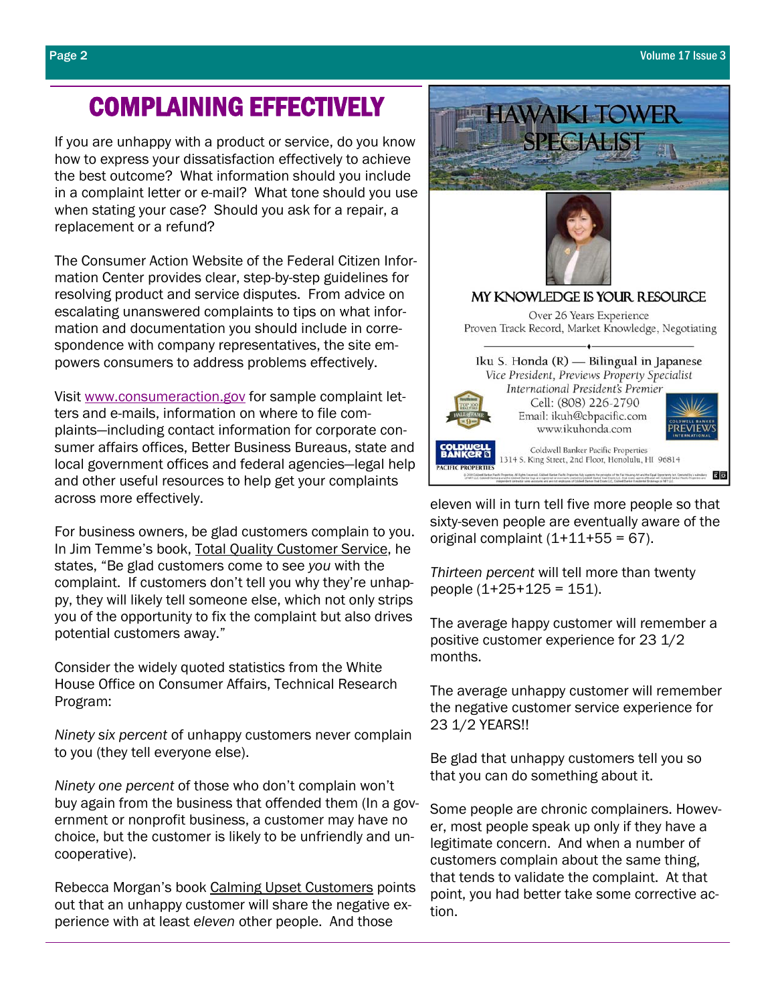# COMPLAINING EFFECTIVELY

If you are unhappy with a product or service, do you know how to express your dissatisfaction effectively to achieve the best outcome? What information should you include in a complaint letter or e-mail? What tone should you use when stating your case? Should you ask for a repair, a replacement or a refund?

The Consumer Action Website of the Federal Citizen Information Center provides clear, step-by-step guidelines for resolving product and service disputes. From advice on escalating unanswered complaints to tips on what information and documentation you should include in correspondence with company representatives, the site empowers consumers to address problems effectively.

Visit www.consumeraction.gov for sample complaint letters and e-mails, information on where to file complaints—including contact information for corporate consumer affairs offices, Better Business Bureaus, state and local government offices and federal agencies—legal help and other useful resources to help get your complaints across more effectively.

For business owners, be glad customers complain to you. In Jim Temme's book, Total Quality Customer Service, he states, "Be glad customers come to see *you* with the complaint. If customers don't tell you why they're unhappy, they will likely tell someone else, which not only strips you of the opportunity to fix the complaint but also drives potential customers away."

Consider the widely quoted statistics from the White House Office on Consumer Affairs, Technical Research Program:

*Ninety six percent* of unhappy customers never complain to you (they tell everyone else).

*Ninety one percent* of those who don't complain won't buy again from the business that offended them (In a government or nonprofit business, a customer may have no choice, but the customer is likely to be unfriendly and uncooperative).

Rebecca Morgan's book Calming Upset Customers points out that an unhappy customer will share the negative experience with at least *eleven* other people. And those



eleven will in turn tell five more people so that sixty-seven people are eventually aware of the original complaint  $(1+11+55 = 67)$ .

*Thirteen percent* will tell more than twenty people  $(1+25+125 = 151)$ .

The average happy customer will remember a positive customer experience for 23 1/2 months.

The average unhappy customer will remember the negative customer service experience for 23 1/2 YEARS!!

Be glad that unhappy customers tell you so that you can do something about it.

Some people are chronic complainers. However, most people speak up only if they have a legitimate concern. And when a number of customers complain about the same thing, that tends to validate the complaint. At that point, you had better take some corrective action.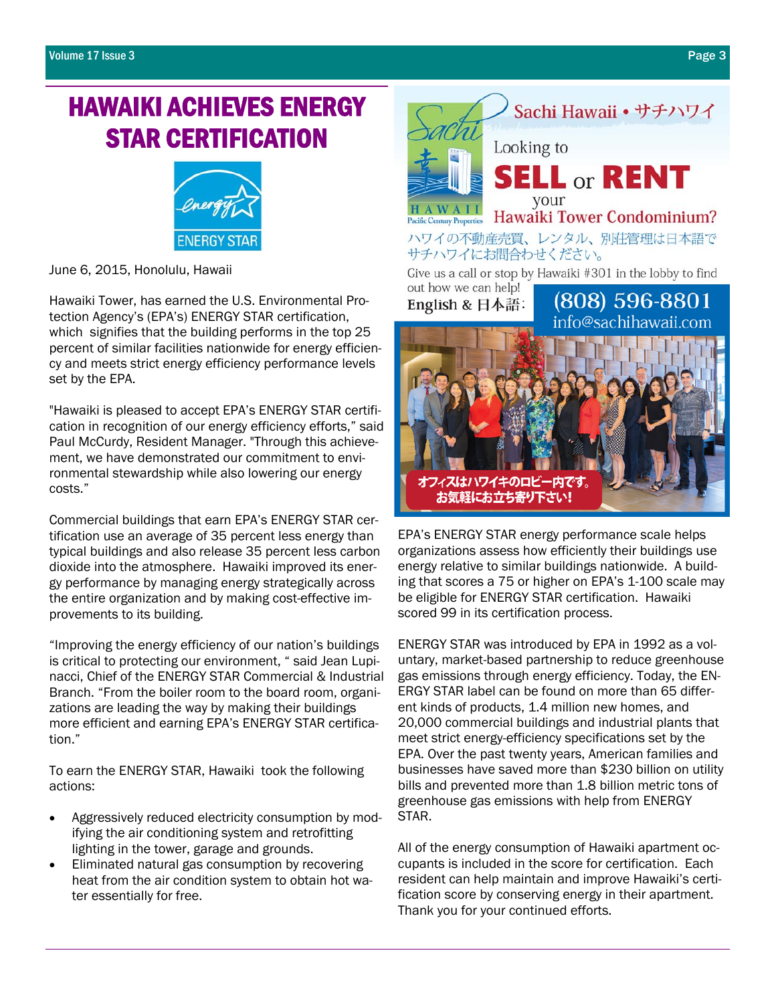# HAWAIKI ACHIEVES ENERGY STAR CERTIFICATION



June 6, 2015, Honolulu, Hawaii

Hawaiki Tower, has earned the U.S. Environmental Protection Agency's (EPA's) ENERGY STAR certification, which signifies that the building performs in the top 25 percent of similar facilities nationwide for energy efficiency and meets strict energy efficiency performance levels set by the EPA.

"Hawaiki is pleased to accept EPA's ENERGY STAR certification in recognition of our energy efficiency efforts," said Paul McCurdy, Resident Manager. "Through this achievement, we have demonstrated our commitment to environmental stewardship while also lowering our energy costs."

Commercial buildings that earn EPA's ENERGY STAR certification use an average of 35 percent less energy than typical buildings and also release 35 percent less carbon dioxide into the atmosphere. Hawaiki improved its energy performance by managing energy strategically across the entire organization and by making cost-effective improvements to its building.

"Improving the energy efficiency of our nation's buildings is critical to protecting our environment, " said Jean Lupinacci, Chief of the ENERGY STAR Commercial & Industrial Branch. "From the boiler room to the board room, organizations are leading the way by making their buildings more efficient and earning EPA's ENERGY STAR certification."

To earn the ENERGY STAR, Hawaiki took the following actions:

- Aggressively reduced electricity consumption by modifying the air conditioning system and retrofitting lighting in the tower, garage and grounds.
- Eliminated natural gas consumption by recovering heat from the air condition system to obtain hot water essentially for free.



ENERGY STAR was introduced by EPA in 1992 as a voluntary, market-based partnership to reduce greenhouse gas emissions through energy efficiency. Today, the EN-ERGY STAR label can be found on more than 65 different kinds of products, 1.4 million new homes, and 20,000 commercial buildings and industrial plants that meet strict energy-efficiency specifications set by the EPA. Over the past twenty years, American families and businesses have saved more than \$230 billion on utility bills and prevented more than 1.8 billion metric tons of greenhouse gas emissions with help from ENERGY STAR.

EPA's ENERGY STAR energy performance scale helps organizations assess how efficiently their buildings use energy relative to similar buildings nationwide. A building that scores a 75 or higher on EPA's 1-100 scale may be eligible for ENERGY STAR certification. Hawaiki

scored 99 in its certification process.

フィスはハワイキのロビー内です。 お気軽にお立ち寄り下さい!

All of the energy consumption of Hawaiki apartment occupants is included in the score for certification. Each resident can help maintain and improve Hawaiki's certification score by conserving energy in their apartment. Thank you for your continued efforts.